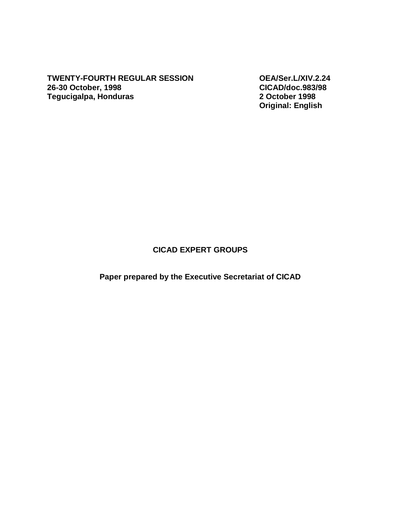**TWENTY-FOURTH REGULAR SESSION OEA/Ser.L/XIV.2.24 26-30 October, 1998 CICAD/doc.983/98 Tegucigalpa, Honduras** 

**Original: English** 

## **CICAD EXPERT GROUPS**

**Paper prepared by the Executive Secretariat of CICAD**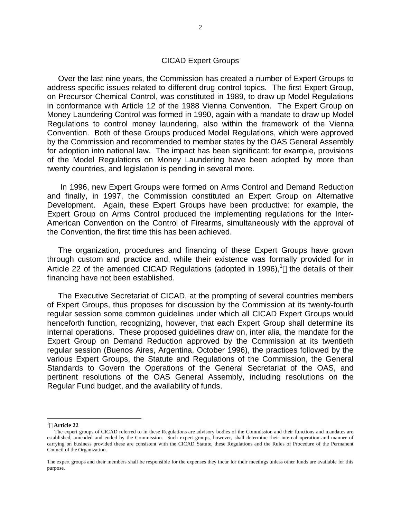## CICAD Expert Groups

 Over the last nine years, the Commission has created a number of Expert Groups to address specific issues related to different drug control topics. The first Expert Group, on Precursor Chemical Control, was constituted in 1989, to draw up Model Regulations in conformance with Article 12 of the 1988 Vienna Convention. The Expert Group on Money Laundering Control was formed in 1990, again with a mandate to draw up Model Regulations to control money laundering, also within the framework of the Vienna Convention. Both of these Groups produced Model Regulations, which were approved by the Commission and recommended to member states by the OAS General Assembly for adoption into national law. The impact has been significant: for example, provisions of the Model Regulations on Money Laundering have been adopted by more than twenty countries, and legislation is pending in several more.

 In 1996, new Expert Groups were formed on Arms Control and Demand Reduction and finally, in 1997, the Commission constituted an Expert Group on Alternative Development. Again, these Expert Groups have been productive: for example, the Expert Group on Arms Control produced the implementing regulations for the Inter-American Convention on the Control of Firearms, simultaneously with the approval of the Convention, the first time this has been achieved.

 The organization, procedures and financing of these Expert Groups have grown through custom and practice and, while their existence was formally provided for in Article 22 of the amended CICAD Regulations (adopted in 1996),<sup>1</sup> the details of their financing have not been established.

 The Executive Secretariat of CICAD, at the prompting of several countries members of Expert Groups, thus proposes for discussion by the Commission at its twenty-fourth regular session some common guidelines under which all CICAD Expert Groups would henceforth function, recognizing, however, that each Expert Group shall determine its internal operations. These proposed guidelines draw on, inter alia, the mandate for the Expert Group on Demand Reduction approved by the Commission at its twentieth regular session (Buenos Aires, Argentina, October 1996), the practices followed by the various Expert Groups, the Statute and Regulations of the Commission, the General Standards to Govern the Operations of the General Secretariat of the OAS, and pertinent resolutions of the OAS General Assembly, including resolutions on the Regular Fund budget, and the availability of funds.

 $\overline{a}$ 

<sup>1</sup> **Article 22**

The expert groups of CICAD referred to in these Regulations are advisory bodies of the Commission and their functions and mandates are established, amended and ended by the Commission. Such expert groups, however, shall determine their internal operation and manner of carrying on business provided these are consistent with the CICAD Statute, these Regulations and the Rules of Procedure of the Permanent Council of the Organization.

The expert groups and their members shall be responsible for the expenses they incur for their meetings unless other funds are available for this purpose.